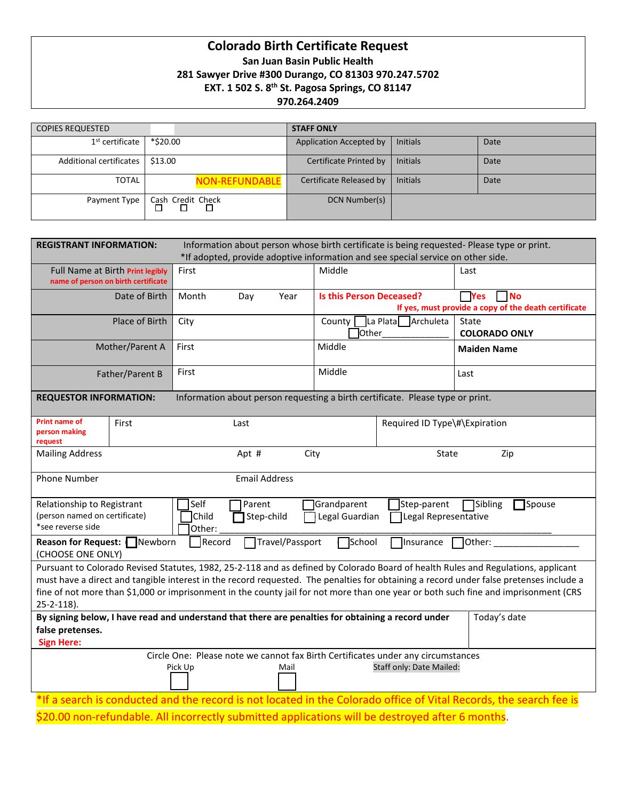# **Colorado Birth Certificate Request San Juan Basin Public Health 281 Sawyer Drive #300 Durango, CO 81303 970.247.5702 EXT. 1 502 S. 8th St. Pagosa Springs, CO 81147 970.264.2409**

| <b>COPIES REQUESTED</b>     |                       | <b>STAFF ONLY</b>       |                 |      |
|-----------------------------|-----------------------|-------------------------|-----------------|------|
| 1 <sup>st</sup> certificate | *\$20.00              | Application Accepted by | <b>Initials</b> | Date |
| Additional certificates     | \$13.00               | Certificate Printed by  | <b>Initials</b> | Date |
| <b>TOTAL</b>                | <b>NON-REFUNDABLE</b> | Certificate Released by | <b>Initials</b> | Date |
| Payment Type                | Cash Credit Check     | DCN Number(s)           |                 |      |

| Information about person whose birth certificate is being requested- Please type or print.<br><b>REGISTRANT INFORMATION:</b><br>*If adopted, provide adoptive information and see special service on other side.                                                                                                                                                                                                                        |       |             |                                 |                               |                                                                                 |  |
|-----------------------------------------------------------------------------------------------------------------------------------------------------------------------------------------------------------------------------------------------------------------------------------------------------------------------------------------------------------------------------------------------------------------------------------------|-------|-------------|---------------------------------|-------------------------------|---------------------------------------------------------------------------------|--|
| Full Name at Birth Print legibly<br>name of person on birth certificate                                                                                                                                                                                                                                                                                                                                                                 | First |             | Middle                          |                               | Last                                                                            |  |
| Date of Birth                                                                                                                                                                                                                                                                                                                                                                                                                           | Month | Day<br>Year | <b>Is this Person Deceased?</b> |                               | $\Box$ Yes<br><b>No</b><br>If yes, must provide a copy of the death certificate |  |
| Place of Birth                                                                                                                                                                                                                                                                                                                                                                                                                          | City  |             | County  <br>Other               | La Plata Archuleta            | State<br><b>COLORADO ONLY</b>                                                   |  |
| Mother/Parent A                                                                                                                                                                                                                                                                                                                                                                                                                         | First | Middle      |                                 |                               | <b>Maiden Name</b>                                                              |  |
| Father/Parent B                                                                                                                                                                                                                                                                                                                                                                                                                         | First |             | Middle                          |                               | Last                                                                            |  |
| Information about person requesting a birth certificate. Please type or print.<br><b>REQUESTOR INFORMATION:</b>                                                                                                                                                                                                                                                                                                                         |       |             |                                 |                               |                                                                                 |  |
| <b>Print name of</b><br>First<br>person making<br>request                                                                                                                                                                                                                                                                                                                                                                               |       | Last        |                                 | Required ID Type\#\Expiration |                                                                                 |  |
| <b>Mailing Address</b><br>City<br>Apt #<br>State<br>Zip                                                                                                                                                                                                                                                                                                                                                                                 |       |             |                                 |                               |                                                                                 |  |
| <b>Phone Number</b><br><b>Email Address</b>                                                                                                                                                                                                                                                                                                                                                                                             |       |             |                                 |                               |                                                                                 |  |
| Relationship to Registrant<br>Self<br>Parent<br>Grandparent<br>Sibling<br>Spouse<br>Step-parent<br>(person named on certificate)<br>Child<br>Step-child<br>Legal Guardian<br>Legal Representative<br>*see reverse side<br>Other:                                                                                                                                                                                                        |       |             |                                 |                               |                                                                                 |  |
| Travel/Passport<br>School<br>Reason for Request: Newborn<br>Record<br>Insurance<br>Other:<br>(CHOOSE ONE ONLY)                                                                                                                                                                                                                                                                                                                          |       |             |                                 |                               |                                                                                 |  |
| Pursuant to Colorado Revised Statutes, 1982, 25-2-118 and as defined by Colorado Board of health Rules and Regulations, applicant<br>must have a direct and tangible interest in the record requested. The penalties for obtaining a record under false pretenses include a<br>fine of not more than \$1,000 or imprisonment in the county jail for not more than one year or both such fine and imprisonment (CRS<br>$25 - 2 - 118$ ). |       |             |                                 |                               |                                                                                 |  |
| By signing below, I have read and understand that there are penalties for obtaining a record under<br>Today's date<br>false pretenses.                                                                                                                                                                                                                                                                                                  |       |             |                                 |                               |                                                                                 |  |
| <b>Sign Here:</b>                                                                                                                                                                                                                                                                                                                                                                                                                       |       |             |                                 |                               |                                                                                 |  |
| Circle One: Please note we cannot fax Birth Certificates under any circumstances<br>Staff only: Date Mailed:<br>Pick Up<br>Mail                                                                                                                                                                                                                                                                                                         |       |             |                                 |                               |                                                                                 |  |
| *If a search is conducted and the record is not located in the Colorado office of Vital Records, the search fee is                                                                                                                                                                                                                                                                                                                      |       |             |                                 |                               |                                                                                 |  |

\$20.00 non-refundable. All incorrectly submitted applications will be destroyed after 6 months.